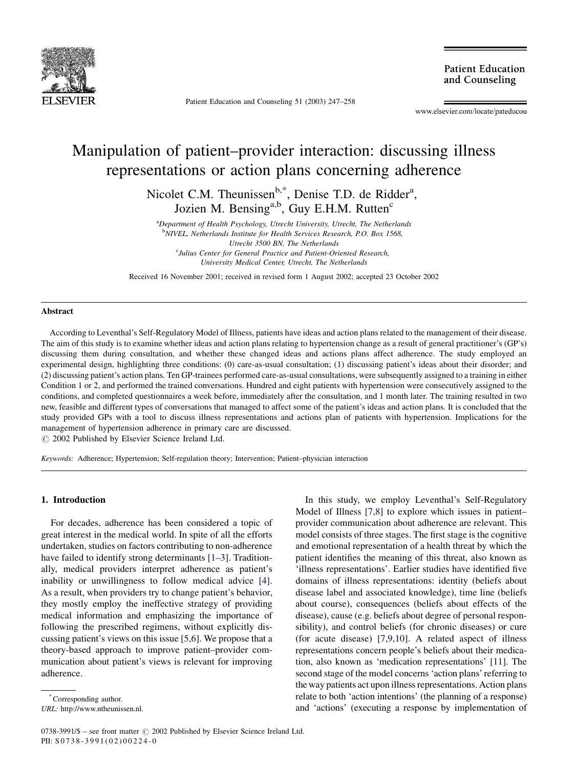

Patient Education and Counseling 51 (2003) 247–258

**Patient Education** and Counseling

www.elsevier.com/locate/pateducou

# Manipulation of patient–provider interaction: discussing illness representations or action plans concerning adherence

Nicolet C.M. Theunissen<sup>b,\*</sup>, Denise T.D. de Ridder<sup>a</sup>, Jozien M. Bensing<sup>a,b</sup>, Guy E.H.M. Rutten<sup>c</sup>

<sup>a</sup>Department of Health Psychology, Utrecht University, Utrecht, The Netherlands <sup>b</sup>NIVEL, Netherlands Institute for Health Services Research, P.O. Box 1568, Utrecht 3500 BN, The Netherlands <sup>c</sup>Julius Center for General Practice and Patient-Oriented Research, University Medical Center, Utrecht, The Netherlands

Received 16 November 2001; received in revised form 1 August 2002; accepted 23 October 2002

#### **Abstract**

According to Leventhal's Self-Regulatory Model of Illness, patients have ideas and action plans related to the management of their disease. The aim of this study is to examine whether ideas and action plans relating to hypertension change as a result of general practitioner's (GP's) discussing them during consultation, and whether these changed ideas and actions plans affect adherence. The study employed an experimental design, highlighting three conditions: (0) care-as-usual consultation; (1) discussing patient's ideas about their disorder; and (2) discussing patient's action plans. Ten GP-trainees performed care-as-usual consultations, were subsequently assigned to a training in either Condition 1 or 2, and performed the trained conversations. Hundred and eight patients with hypertension were consecutively assigned to the conditions, and completed questionnaires a week before, immediately after the consultation, and 1 month later. The training resulted in two new, feasible and different types of conversations that managed to affect some of the patient's ideas and action plans. It is concluded that the study provided GPs with a tool to discuss illness representations and actions plan of patients with hypertension. Implications for the management of hypertension adherence in primary care are discussed.

 $\odot$  2002 Published by Elsevier Science Ireland Ltd.

Keywords: Adherence; Hypertension; Self-regulation theory; Intervention; Patient–physician interaction

## 1. Introduction

For decades, adherence has been considered a topic of great interest in the medical world. In spite of all the efforts undertaken, studies on factors contributing to non-adherence have failed to identify strong determinants [\[1–3\]](#page-10-0). Traditionally, medical providers interpret adherence as patient's inability or unwillingness to follow medical advice [\[4\]](#page-10-0). As a result, when providers try to change patient's behavior, they mostly employ the ineffective strategy of providing medical information and emphasizing the importance of following the prescribed regimens, without explicitly discussing patient's views on this issue [\[5,6\]](#page-10-0). We propose that a theory-based approach to improve patient–provider communication about patient's views is relevant for improving adherence.

In this study, we employ Leventhal's Self-Regulatory Model of Illness [\[7,8\]](#page-10-0) to explore which issues in patient–

provider communication about adherence are relevant. This model consists of three stages. The first stage is the cognitive and emotional representation of a health threat by which the patient identifies the meaning of this threat, also known as 'illness representations'. Earlier studies have identified five domains of illness representations: identity (beliefs about disease label and associated knowledge), time line (beliefs about course), consequences (beliefs about effects of the disease), cause (e.g. beliefs about degree of personal responsibility), and control beliefs (for chronic diseases) or cure (for acute disease) [\[7,9,10\].](#page-10-0) A related aspect of illness representations concern people's beliefs about their medication, also known as 'medication representations' [\[11\]](#page-10-0). The second stage of the model concerns 'action plans' referring to the way patients act upon illness representations. Action plans relate to both 'action intentions' (the planning of a response) and 'actions' (executing a response by implementation of

URL: http://www.ntheunissen.nl.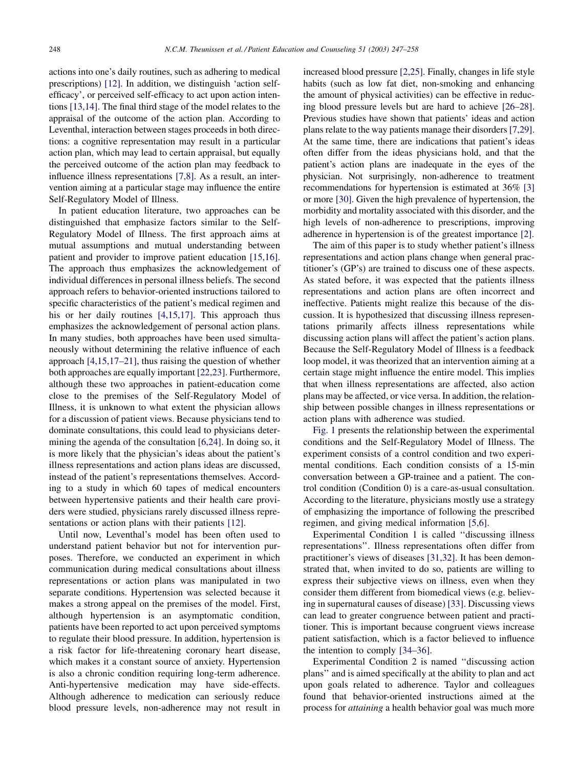actions into one's daily routines, such as adhering to medical prescriptions) [\[12\]](#page-10-0). In addition, we distinguish 'action selfefficacy', or perceived self-efficacy to act upon action intentions [\[13,14\].](#page-10-0) The final third stage of the model relates to the appraisal of the outcome of the action plan. According to Leventhal, interaction between stages proceeds in both directions: a cognitive representation may result in a particular action plan, which may lead to certain appraisal, but equally the perceived outcome of the action plan may feedback to influence illness representations [\[7,8\]](#page-10-0). As a result, an intervention aiming at a particular stage may influence the entire Self-Regulatory Model of Illness.

In patient education literature, two approaches can be distinguished that emphasize factors similar to the Self-Regulatory Model of Illness. The first approach aims at mutual assumptions and mutual understanding between patient and provider to improve patient education [\[15,16\]](#page-10-0). The approach thus emphasizes the acknowledgement of individual differences in personal illness beliefs. The second approach refers to behavior-oriented instructions tailored to specific characteristics of the patient's medical regimen and his or her daily routines [\[4,15,17\].](#page-10-0) This approach thus emphasizes the acknowledgement of personal action plans. In many studies, both approaches have been used simultaneously without determining the relative influence of each approach [\[4,15,17–21\]](#page-10-0), thus raising the question of whether both approaches are equally important [\[22,23\].](#page-10-0) Furthermore, although these two approaches in patient-education come close to the premises of the Self-Regulatory Model of Illness, it is unknown to what extent the physician allows for a discussion of patient views. Because physicians tend to dominate consultations, this could lead to physicians determining the agenda of the consultation [\[6,24\].](#page-10-0) In doing so, it is more likely that the physician's ideas about the patient's illness representations and action plans ideas are discussed, instead of the patient's representations themselves. According to a study in which 60 tapes of medical encounters between hypertensive patients and their health care providers were studied, physicians rarely discussed illness representations or action plans with their patients [\[12\].](#page-10-0)

Until now, Leventhal's model has been often used to understand patient behavior but not for intervention purposes. Therefore, we conducted an experiment in which communication during medical consultations about illness representations or action plans was manipulated in two separate conditions. Hypertension was selected because it makes a strong appeal on the premises of the model. First, although hypertension is an asymptomatic condition, patients have been reported to act upon perceived symptoms to regulate their blood pressure. In addition, hypertension is a risk factor for life-threatening coronary heart disease, which makes it a constant source of anxiety. Hypertension is also a chronic condition requiring long-term adherence. Anti-hypertensive medication may have side-effects. Although adherence to medication can seriously reduce blood pressure levels, non-adherence may not result in

increased blood pressure [\[2,25\]](#page-10-0). Finally, changes in life style habits (such as low fat diet, non-smoking and enhancing the amount of physical activities) can be effective in reducing blood pressure levels but are hard to achieve [\[26–28\]](#page-10-0). Previous studies have shown that patients' ideas and action plans relate to the way patients manage their disorders [\[7,29\]](#page-10-0). At the same time, there are indications that patient's ideas often differ from the ideas physicians hold, and that the patient's action plans are inadequate in the eyes of the physician. Not surprisingly, non-adherence to treatment recommendations for hypertension is estimated at 36% [\[3\]](#page-10-0) or more [\[30\].](#page-11-0) Given the high prevalence of hypertension, the morbidity and mortality associated with this disorder, and the high levels of non-adherence to prescriptions, improving adherence in hypertension is of the greatest importance [\[2\].](#page-10-0)

The aim of this paper is to study whether patient's illness representations and action plans change when general practitioner's (GP's) are trained to discuss one of these aspects. As stated before, it was expected that the patients illness representations and action plans are often incorrect and ineffective. Patients might realize this because of the discussion. It is hypothesized that discussing illness representations primarily affects illness representations while discussing action plans will affect the patient's action plans. Because the Self-Regulatory Model of Illness is a feedback loop model, it was theorized that an intervention aiming at a certain stage might influence the entire model. This implies that when illness representations are affected, also action plans may be affected, or vice versa. In addition, the relationship between possible changes in illness representations or action plans with adherence was studied.

[Fig. 1](#page-2-0) presents the relationship between the experimental conditions and the Self-Regulatory Model of Illness. The experiment consists of a control condition and two experimental conditions. Each condition consists of a 15-min conversation between a GP-trainee and a patient. The control condition (Condition 0) is a care-as-usual consultation. According to the literature, physicians mostly use a strategy of emphasizing the importance of following the prescribed regimen, and giving medical information [\[5,6\].](#page-10-0)

Experimental Condition 1 is called ''discussing illness representations''. Illness representations often differ from practitioner's views of diseases [\[31,32\].](#page-11-0) It has been demonstrated that, when invited to do so, patients are willing to express their subjective views on illness, even when they consider them different from biomedical views (e.g. believing in supernatural causes of disease) [\[33\]](#page-11-0). Discussing views can lead to greater congruence between patient and practitioner. This is important because congruent views increase patient satisfaction, which is a factor believed to influence the intention to comply [\[34–36\]](#page-11-0).

Experimental Condition 2 is named ''discussing action plans'' and is aimed specifically at the ability to plan and act upon goals related to adherence. Taylor and colleagues found that behavior-oriented instructions aimed at the process for attaining a health behavior goal was much more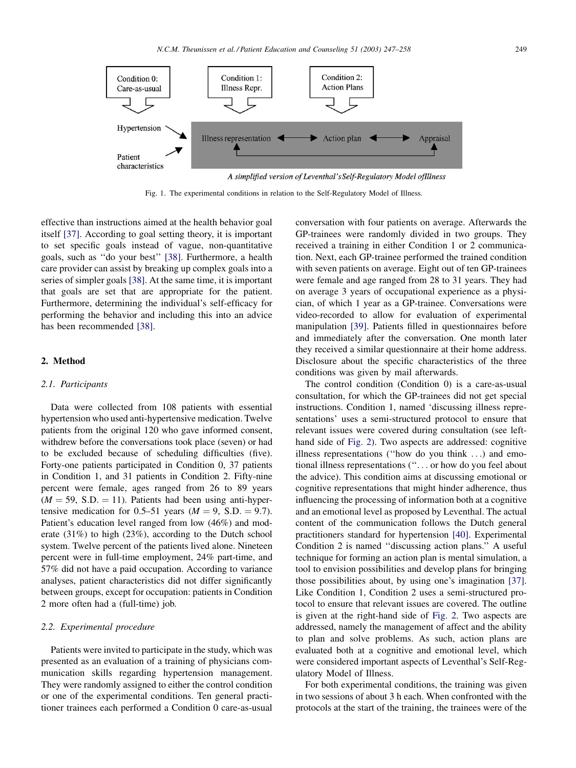<span id="page-2-0"></span>

A simplified version of Leventhal's Self-Regulatory Model of Illness

Fig. 1. The experimental conditions in relation to the Self-Regulatory Model of Illness.

effective than instructions aimed at the health behavior goal itself [\[37\]](#page-11-0). According to goal setting theory, it is important to set specific goals instead of vague, non-quantitative goals, such as ''do your best'' [\[38\].](#page-11-0) Furthermore, a health care provider can assist by breaking up complex goals into a series of simpler goals [\[38\].](#page-11-0) At the same time, it is important that goals are set that are appropriate for the patient. Furthermore, determining the individual's self-efficacy for performing the behavior and including this into an advice has been recommended [\[38\]](#page-11-0).

#### 2. Method

#### 2.1. Participants

Data were collected from 108 patients with essential hypertension who used anti-hypertensive medication. Twelve patients from the original 120 who gave informed consent, withdrew before the conversations took place (seven) or had to be excluded because of scheduling difficulties (five). Forty-one patients participated in Condition 0, 37 patients in Condition 1, and 31 patients in Condition 2. Fifty-nine percent were female, ages ranged from 26 to 89 years  $(M = 59, S.D. = 11)$ . Patients had been using anti-hypertensive medication for 0.5–51 years ( $M = 9$ , S.D. = 9.7). Patient's education level ranged from low (46%) and moderate (31%) to high (23%), according to the Dutch school system. Twelve percent of the patients lived alone. Nineteen percent were in full-time employment, 24% part-time, and 57% did not have a paid occupation. According to variance analyses, patient characteristics did not differ significantly between groups, except for occupation: patients in Condition 2 more often had a (full-time) job.

## 2.2. Experimental procedure

Patients were invited to participate in the study, which was presented as an evaluation of a training of physicians communication skills regarding hypertension management. They were randomly assigned to either the control condition or one of the experimental conditions. Ten general practitioner trainees each performed a Condition 0 care-as-usual conversation with four patients on average. Afterwards the GP-trainees were randomly divided in two groups. They received a training in either Condition 1 or 2 communication. Next, each GP-trainee performed the trained condition with seven patients on average. Eight out of ten GP-trainees were female and age ranged from 28 to 31 years. They had on average 3 years of occupational experience as a physician, of which 1 year as a GP-trainee. Conversations were video-recorded to allow for evaluation of experimental manipulation [\[39\]](#page-11-0). Patients filled in questionnaires before and immediately after the conversation. One month later they received a similar questionnaire at their home address. Disclosure about the specific characteristics of the three conditions was given by mail afterwards.

The control condition (Condition 0) is a care-as-usual consultation, for which the GP-trainees did not get special instructions. Condition 1, named 'discussing illness representations' uses a semi-structured protocol to ensure that relevant issues were covered during consultation (see lefthand side of [Fig. 2\)](#page-3-0). Two aspects are addressed: cognitive illness representations (''how do you think ...) and emotional illness representations (''... or how do you feel about the advice). This condition aims at discussing emotional or cognitive representations that might hinder adherence, thus influencing the processing of information both at a cognitive and an emotional level as proposed by Leventhal. The actual content of the communication follows the Dutch general practitioners standard for hypertension [\[40\]](#page-11-0). Experimental Condition 2 is named ''discussing action plans.'' A useful technique for forming an action plan is mental simulation, a tool to envision possibilities and develop plans for bringing those possibilities about, by using one's imagination [\[37\]](#page-11-0). Like Condition 1, Condition 2 uses a semi-structured protocol to ensure that relevant issues are covered. The outline is given at the right-hand side of [Fig. 2.](#page-3-0) Two aspects are addressed, namely the management of affect and the ability to plan and solve problems. As such, action plans are evaluated both at a cognitive and emotional level, which were considered important aspects of Leventhal's Self-Regulatory Model of Illness.

For both experimental conditions, the training was given in two sessions of about 3 h each. When confronted with the protocols at the start of the training, the trainees were of the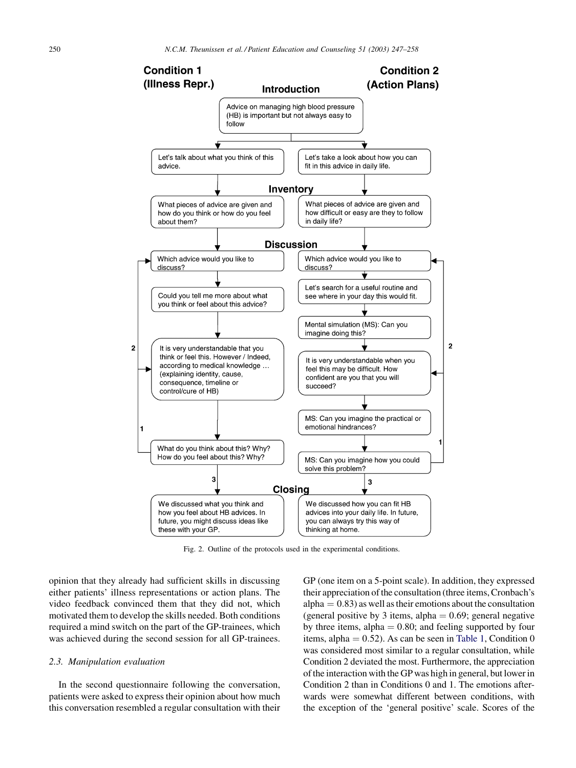<span id="page-3-0"></span>

Fig. 2. Outline of the protocols used in the experimental conditions.

opinion that they already had sufficient skills in discussing either patients' illness representations or action plans. The video feedback convinced them that they did not, which motivated them to develop the skills needed. Both conditions required a mind switch on the part of the GP-trainees, which was achieved during the second session for all GP-trainees.

## 2.3. Manipulation evaluation

In the second questionnaire following the conversation, patients were asked to express their opinion about how much this conversation resembled a regular consultation with their GP (one item on a 5-point scale). In addition, they expressed their appreciation of the consultation (three items, Cronbach's  $alpha = 0.83$  as well as their emotions about the consultation (general positive by 3 items, alpha  $= 0.69$ ; general negative by three items, alpha  $= 0.80$ ; and feeling supported by four items, alpha  $= 0.52$ ). As can be seen in [Table 1,](#page-4-0) Condition 0 was considered most similar to a regular consultation, while Condition 2 deviated the most. Furthermore, the appreciation of the interaction with the GP was high in general, but lower in Condition 2 than in Conditions 0 and 1. The emotions afterwards were somewhat different between conditions, with the exception of the 'general positive' scale. Scores of the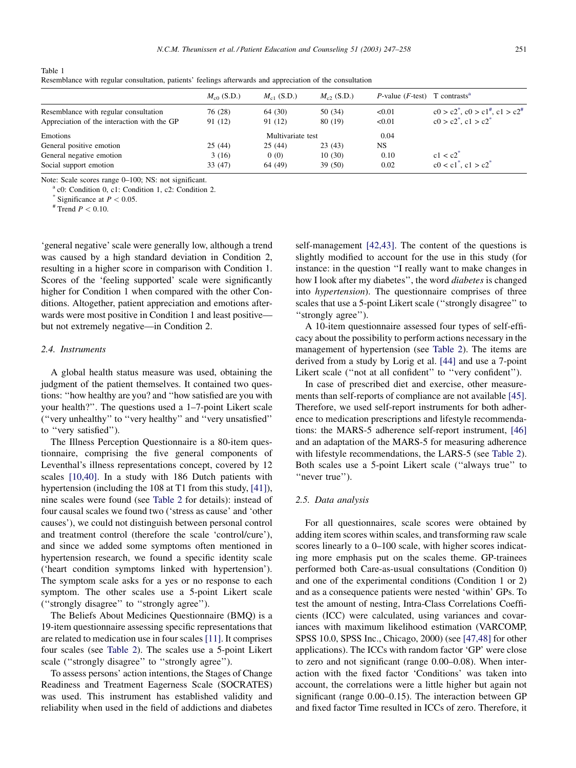<span id="page-4-0"></span>

| Table 1 |                                                                                                           |
|---------|-----------------------------------------------------------------------------------------------------------|
|         | Resemblance with regular consultation, patients' feelings afterwards and appreciation of the consultation |

|                                             | $M_{c0}$ (S.D.) | $M_{c1}$ (S.D.)   | $M_{c2}$ (S.D.) | $P$ -value ( $F$ -test) | T contrasts <sup>a</sup>                |
|---------------------------------------------|-----------------|-------------------|-----------------|-------------------------|-----------------------------------------|
| Resemblance with regular consultation       | 76 (28)         | 64 (30)           | 50 (34)         | < 0.01                  | $c0 > c2^*$ , $c0 > c1^*$ , $c1 > c2^*$ |
| Appreciation of the interaction with the GP | 91 (12)         | 91 (12)           | 80 (19)         | < 0.01                  | $c0 > c2^*$ , $c1 > c2^*$               |
| Emotions                                    |                 | Multivariate test |                 | 0.04                    |                                         |
| General positive emotion                    | 25(44)          | 25(44)            | 23(43)          | NS                      |                                         |
| General negative emotion                    | 3(16)           | 0(0)              | 10(30)          | 0.10                    | $c1 < c2$ <sup>*</sup>                  |
| Social support emotion                      | 33(47)          | 64 (49)           | 39(50)          | 0.02                    | $c0 < c1^*$ , $c1 > c2^*$               |

Note: Scale scores range 0–100; NS: not significant.<br><sup>a</sup> c0: Condition 0, c1: Condition 1, c2: Condition 2.

\* Significance at  $P < 0.05$ .<br># Trend  $P < 0.10$ .

'general negative' scale were generally low, although a trend was caused by a high standard deviation in Condition 2, resulting in a higher score in comparison with Condition 1. Scores of the 'feeling supported' scale were significantly higher for Condition 1 when compared with the other Conditions. Altogether, patient appreciation and emotions afterwards were most positive in Condition 1 and least positivebut not extremely negative—in Condition 2.

#### 2.4. Instruments

A global health status measure was used, obtaining the judgment of the patient themselves. It contained two questions: ''how healthy are you? and ''how satisfied are you with your health?''. The questions used a 1–7-point Likert scale (''very unhealthy'' to ''very healthy'' and ''very unsatisfied'' to ''very satisfied'').

The Illness Perception Questionnaire is a 80-item questionnaire, comprising the five general components of Leventhal's illness representations concept, covered by 12 scales [\[10,40\]](#page-10-0). In a study with 186 Dutch patients with hypertension (including the 108 at T1 from this study, [\[41\]\)](#page-11-0), nine scales were found (see [Table 2](#page-5-0) for details): instead of four causal scales we found two ('stress as cause' and 'other causes'), we could not distinguish between personal control and treatment control (therefore the scale 'control/cure'), and since we added some symptoms often mentioned in hypertension research, we found a specific identity scale ('heart condition symptoms linked with hypertension'). The symptom scale asks for a yes or no response to each symptom. The other scales use a 5-point Likert scale (''strongly disagree'' to ''strongly agree'').

The Beliefs About Medicines Questionnaire (BMQ) is a 19-item questionnaire assessing specific representations that are related to medication use in four scales [\[11\].](#page-10-0) It comprises four scales (see [Table 2\)](#page-5-0). The scales use a 5-point Likert scale (''strongly disagree'' to ''strongly agree'').

To assess persons' action intentions, the Stages of Change Readiness and Treatment Eagerness Scale (SOCRATES) was used. This instrument has established validity and reliability when used in the field of addictions and diabetes

self-management [\[42,43\].](#page-11-0) The content of the questions is slightly modified to account for the use in this study (for instance: in the question ''I really want to make changes in how I look after my diabetes'', the word diabetes is changed into hypertension). The questionnaire comprises of three scales that use a 5-point Likert scale (''strongly disagree'' to "strongly agree").

A 10-item questionnaire assessed four types of self-efficacy about the possibility to perform actions necessary in the management of hypertension (see [Table 2](#page-5-0)). The items are derived from a study by Lorig et al. [\[44\]](#page-11-0) and use a 7-point Likert scale ("not at all confident" to "very confident").

In case of prescribed diet and exercise, other measurements than self-reports of compliance are not available [\[45\]](#page-11-0). Therefore, we used self-report instruments for both adherence to medication prescriptions and lifestyle recommendations: the MARS-5 adherence self-report instrument, [\[46\]](#page-11-0) and an adaptation of the MARS-5 for measuring adherence with lifestyle recommendations, the LARS-5 (see [Table 2\)](#page-5-0). Both scales use a 5-point Likert scale (''always true'' to "never true").

## 2.5. Data analysis

For all questionnaires, scale scores were obtained by adding item scores within scales, and transforming raw scale scores linearly to a 0–100 scale, with higher scores indicating more emphasis put on the scales theme. GP-trainees performed both Care-as-usual consultations (Condition 0) and one of the experimental conditions (Condition 1 or 2) and as a consequence patients were nested 'within' GPs. To test the amount of nesting, Intra-Class Correlations Coefficients (ICC) were calculated, using variances and covariances with maximum likelihood estimation (VARCOMP, SPSS 10.0, SPSS Inc., Chicago, 2000) (see [\[47,48\]](#page-11-0) for other applications). The ICCs with random factor 'GP' were close to zero and not significant (range 0.00–0.08). When interaction with the fixed factor 'Conditions' was taken into account, the correlations were a little higher but again not significant (range 0.00–0.15). The interaction between GP and fixed factor Time resulted in ICCs of zero. Therefore, it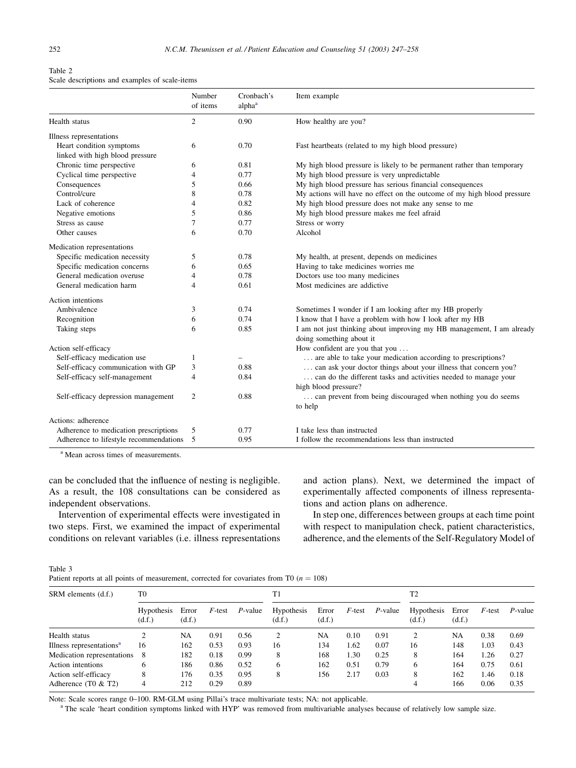<span id="page-5-0"></span>

| Table 2 |                                                |  |  |
|---------|------------------------------------------------|--|--|
|         | Scale descriptions and examples of scale-items |  |  |

|                                          | Number<br>of items | Cronbach's<br>alpha <sup>a</sup> | Item example                                                            |
|------------------------------------------|--------------------|----------------------------------|-------------------------------------------------------------------------|
| Health status                            | $\overline{c}$     | 0.90                             | How healthy are you?                                                    |
| Illness representations                  |                    |                                  |                                                                         |
| Heart condition symptoms                 | 6                  | 0.70                             | Fast heartbeats (related to my high blood pressure)                     |
| linked with high blood pressure          |                    |                                  |                                                                         |
| Chronic time perspective                 | 6                  | 0.81                             | My high blood pressure is likely to be permanent rather than temporary  |
| Cyclical time perspective                | 4                  | 0.77                             | My high blood pressure is very unpredictable                            |
| Consequences                             | 5                  | 0.66                             | My high blood pressure has serious financial consequences               |
| Control/cure                             | 8                  | 0.78                             | My actions will have no effect on the outcome of my high blood pressure |
| Lack of coherence                        | 4                  | 0.82                             | My high blood pressure does not make any sense to me                    |
| Negative emotions                        | 5                  | 0.86                             | My high blood pressure makes me feel afraid                             |
| Stress as cause                          | 7                  | 0.77                             | Stress or worry                                                         |
| Other causes                             | 6                  | 0.70                             | Alcohol                                                                 |
| Medication representations               |                    |                                  |                                                                         |
| Specific medication necessity            | 5                  | 0.78                             | My health, at present, depends on medicines                             |
| Specific medication concerns             | 6                  | 0.65                             | Having to take medicines worries me                                     |
| General medication overuse               | 4                  | 0.78                             | Doctors use too many medicines                                          |
| General medication harm                  | 4                  | 0.61                             | Most medicines are addictive                                            |
| Action intentions                        |                    |                                  |                                                                         |
| Ambivalence                              | 3                  | 0.74                             | Sometimes I wonder if I am looking after my HB properly                 |
| Recognition                              | 6                  | 0.74                             | I know that I have a problem with how I look after my HB                |
| Taking steps                             | 6                  | 0.85                             | I am not just thinking about improving my HB management, I am already   |
|                                          |                    |                                  | doing something about it                                                |
| Action self-efficacy                     |                    |                                  | How confident are you that you                                          |
| Self-efficacy medication use             | 1                  | $\qquad \qquad -$                | are able to take your medication according to prescriptions?            |
| Self-efficacy communication with GP      | 3                  | 0.88                             | can ask your doctor things about your illness that concern you?         |
| Self-efficacy self-management            | 4                  | 0.84                             | can do the different tasks and activities needed to manage your         |
|                                          |                    |                                  | high blood pressure?                                                    |
| Self-efficacy depression management      | $\overline{c}$     | 0.88                             | can prevent from being discouraged when nothing you do seems            |
|                                          |                    |                                  | to help                                                                 |
| Actions: adherence                       |                    |                                  |                                                                         |
| Adherence to medication prescriptions    | 5                  | 0.77                             | I take less than instructed                                             |
| Adherence to lifestyle recommendations 5 |                    | 0.95                             | I follow the recommendations less than instructed                       |

<sup>a</sup> Mean across times of measurements.

can be concluded that the influence of nesting is negligible. As a result, the 108 consultations can be considered as independent observations.

Intervention of experimental effects were investigated in two steps. First, we examined the impact of experimental conditions on relevant variables (i.e. illness representations

and action plans). Next, we determined the impact of experimentally affected components of illness representations and action plans on adherence.

In step one, differences between groups at each time point with respect to manipulation check, patient characteristics, adherence, and the elements of the Self-Regulatory Model of

Table 3

Patient reports at all points of measurement, corrected for covariates from T0 ( $n = 108$ )

| SRM elements (d.f.)                  | T <sub>0</sub>              |                 |           |         | T1                          |                 |        |            | T2                   |                 |           |            |
|--------------------------------------|-----------------------------|-----------------|-----------|---------|-----------------------------|-----------------|--------|------------|----------------------|-----------------|-----------|------------|
|                                      |                             |                 |           |         |                             |                 |        |            |                      |                 |           |            |
|                                      | <b>Hypothesis</b><br>(d.f.) | Error<br>(d.f.) | $F$ -test | P-value | <b>Hypothesis</b><br>(d.f.) | Error<br>(d.f.) | F-test | $P$ -value | Hypothesis<br>(d.f.) | Error<br>(d.f.) | $F$ -test | $P$ -value |
| Health status                        |                             | NA              | 0.91      | 0.56    |                             | NA              | 0.10   | 0.91       | 2                    | NA              | 0.38      | 0.69       |
| Illness representations <sup>a</sup> | 16                          | 162             | 0.53      | 0.93    | 16                          | 134             | 1.62   | 0.07       | 16                   | 148             | 1.03      | 0.43       |
| Medication representations           | - 8                         | 182             | 0.18      | 0.99    | 8                           | 168             | 1.30   | 0.25       | 8                    | 164             | 1.26      | 0.27       |
| Action intentions                    | 6                           | 186             | 0.86      | 0.52    | 6                           | 162             | 0.51   | 0.79       | 6                    | 164             | 0.75      | 0.61       |
| Action self-efficacy                 | 8                           | 176             | 0.35      | 0.95    | 8                           | 156             | 2.17   | 0.03       | 8                    | 162             | 1.46      | 0.18       |
| Adherence $(T0 \& T2)$               | 4                           | 212             | 0.29      | 0.89    |                             |                 |        |            | 4                    | 166             | 0.06      | 0.35       |

Note: Scale scores range 0-100. RM-GLM using Pillai's trace multivariate tests; NA: not applicable.<br><sup>a</sup> The scale 'heart condition symptoms linked with HYP' was removed from multivariable analyses because of relatively low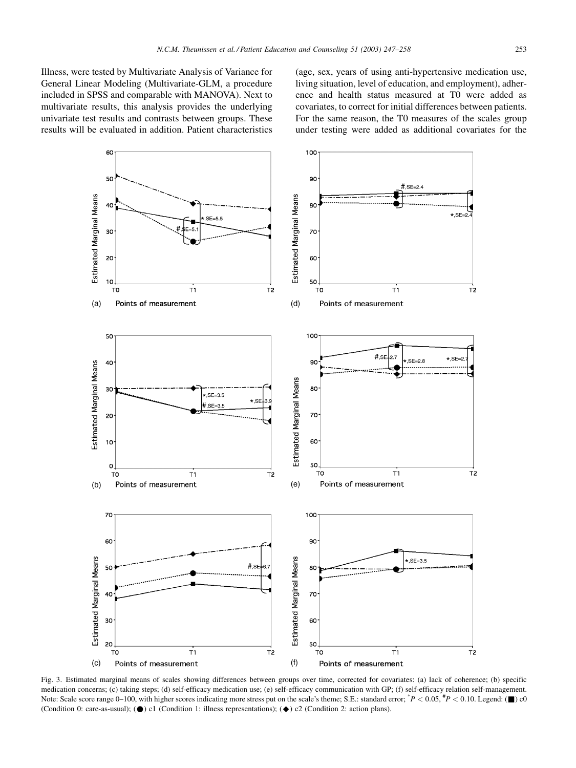<span id="page-6-0"></span>Illness, were tested by Multivariate Analysis of Variance for General Linear Modeling (Multivariate-GLM, a procedure included in SPSS and comparable with MANOVA). Next to multivariate results, this analysis provides the underlying univariate test results and contrasts between groups. These results will be evaluated in addition. Patient characteristics (age, sex, years of using anti-hypertensive medication use, living situation, level of education, and employment), adherence and health status measured at T0 were added as covariates, to correct for initial differences between patients. For the same reason, the T0 measures of the scales group under testing were added as additional covariates for the



Fig. 3. Estimated marginal means of scales showing differences between groups over time, corrected for covariates: (a) lack of coherence; (b) specific medication concerns; (c) taking steps; (d) self-efficacy medication use; (e) self-efficacy communication with GP; (f) self-efficacy relation self-management. Note: Scale score range 0–100, with higher scores indicating more stress put on the scale's theme; S.E.: standard error;  $^{*}P$  < 0.05,  $^{*}P$  < 0.10. Legend: ( $\Box$ ) c0 (Condition 0: care-as-usual); ( $\bullet$ ) c1 (Condition 1: illness representations);  $\bullet$  c2 (Condition 2: action plans).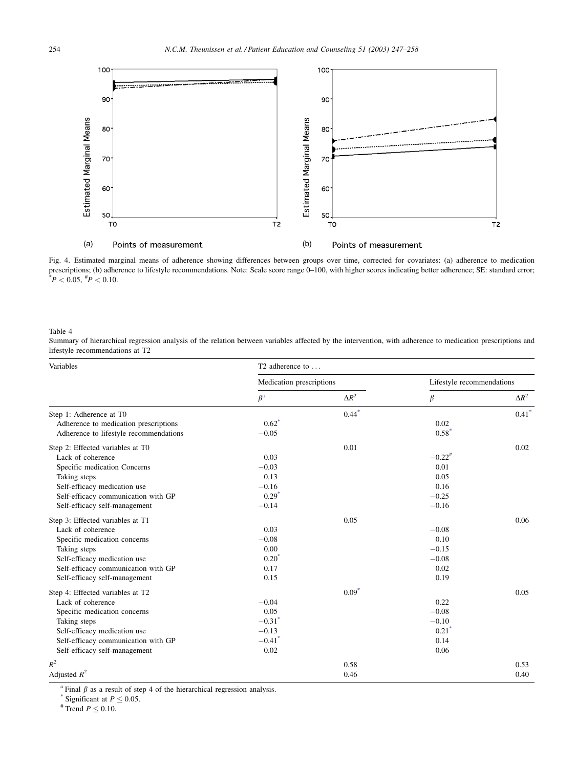<span id="page-7-0"></span>

Fig. 4. Estimated marginal means of adherence showing differences between groups over time, corrected for covariates: (a) adherence to medication prescriptions; (b) adherence to lifestyle recommendations. Note: Scale score range 0–100, with higher scores indicating better adherence; SE: standard error;  $^*P < 0.05, \, ^{\#}P < 0.10.$ 

Table 4

Summary of hierarchical regression analysis of the relation between variables affected by the intervention, with adherence to medication prescriptions and lifestyle recommendations at T2

| Variables                              | T2 adherence to          |              |                           |              |  |  |  |
|----------------------------------------|--------------------------|--------------|---------------------------|--------------|--|--|--|
|                                        | Medication prescriptions |              | Lifestyle recommendations |              |  |  |  |
|                                        | $\beta^{\rm a}$          | $\Delta R^2$ | β                         | $\Delta R^2$ |  |  |  |
| Step 1: Adherence at T0                |                          | $0.44*$      |                           | $0.41*$      |  |  |  |
| Adherence to medication prescriptions  | $0.62^*$                 |              | 0.02                      |              |  |  |  |
| Adherence to lifestyle recommendations | $-0.05$                  |              | $0.58*$                   |              |  |  |  |
| Step 2: Effected variables at T0       |                          | 0.01         |                           | 0.02         |  |  |  |
| Lack of coherence                      | 0.03                     |              | $-0.22$ <sup>#</sup>      |              |  |  |  |
| Specific medication Concerns           | $-0.03$                  |              | 0.01                      |              |  |  |  |
| Taking steps                           | 0.13                     |              | 0.05                      |              |  |  |  |
| Self-efficacy medication use           | $-0.16$                  |              | 0.16                      |              |  |  |  |
| Self-efficacy communication with GP    | $0.29*$                  |              | $-0.25$                   |              |  |  |  |
| Self-efficacy self-management          | $-0.14$                  |              | $-0.16$                   |              |  |  |  |
| Step 3: Effected variables at T1       |                          | 0.05         |                           | 0.06         |  |  |  |
| Lack of coherence                      | 0.03                     |              | $-0.08$                   |              |  |  |  |
| Specific medication concerns           | $-0.08$                  |              | 0.10                      |              |  |  |  |
| Taking steps                           | 0.00                     |              | $-0.15$                   |              |  |  |  |
| Self-efficacy medication use           | $0.20^{*}$               |              | $-0.08$                   |              |  |  |  |
| Self-efficacy communication with GP    | 0.17                     |              | 0.02                      |              |  |  |  |
| Self-efficacy self-management          | 0.15                     |              | 0.19                      |              |  |  |  |
| Step 4: Effected variables at T2       |                          | $0.09*$      |                           | 0.05         |  |  |  |
| Lack of coherence                      | $-0.04$                  |              | 0.22                      |              |  |  |  |
| Specific medication concerns           | 0.05                     |              | $-0.08$                   |              |  |  |  |
| Taking steps                           | $-0.31$ <sup>*</sup>     |              | $-0.10$                   |              |  |  |  |
| Self-efficacy medication use           | $-0.13$                  |              | $0.21*$                   |              |  |  |  |
| Self-efficacy communication with GP    | $-0.41$ <sup>*</sup>     |              | 0.14                      |              |  |  |  |
| Self-efficacy self-management          | 0.02                     |              | 0.06                      |              |  |  |  |
| $R^2$                                  |                          | 0.58         |                           | 0.53         |  |  |  |
| Adjusted $R^2$                         |                          | 0.46         |                           | 0.40         |  |  |  |

<sup>a</sup> Final  $\beta$  as a result of step 4 of the hierarchical regression analysis. \* Significant at  $P \le 0.05$ .<br># Trend  $P \le 0.10$ .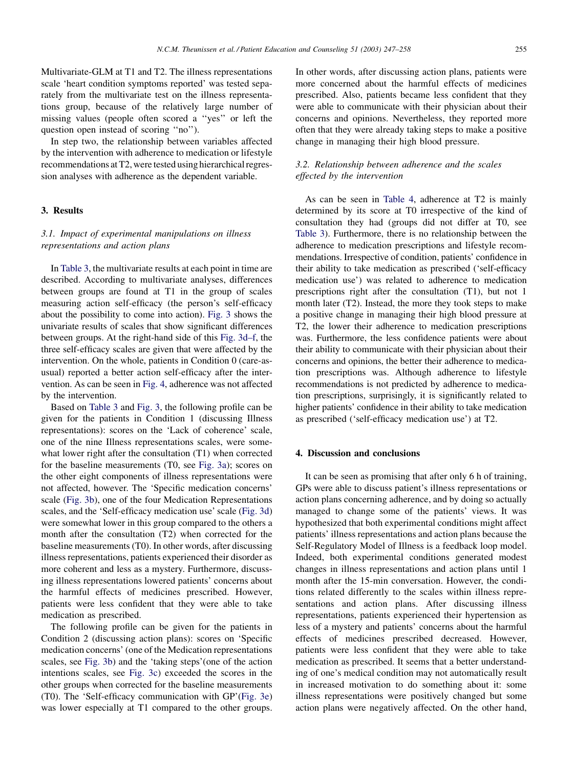Multivariate-GLM at T1 and T2. The illness representations scale 'heart condition symptoms reported' was tested separately from the multivariate test on the illness representations group, because of the relatively large number of missing values (people often scored a ''yes'' or left the question open instead of scoring ''no'').

In step two, the relationship between variables affected by the intervention with adherence to medication or lifestyle recommendations at T2, were tested using hierarchical regression analyses with adherence as the dependent variable.

# 3. Results

# 3.1. Impact of experimental manipulations on illness representations and action plans

In [Table 3,](#page-5-0) the multivariate results at each point in time are described. According to multivariate analyses, differences between groups are found at T1 in the group of scales measuring action self-efficacy (the person's self-efficacy about the possibility to come into action). [Fig. 3](#page-6-0) shows the univariate results of scales that show significant differences between groups. At the right-hand side of this [Fig. 3d–f](#page-6-0), the three self-efficacy scales are given that were affected by the intervention. On the whole, patients in Condition 0 (care-asusual) reported a better action self-efficacy after the intervention. As can be seen in [Fig. 4](#page-7-0), adherence was not affected by the intervention.

Based on [Table 3](#page-5-0) and [Fig. 3](#page-6-0), the following profile can be given for the patients in Condition 1 (discussing Illness representations): scores on the 'Lack of coherence' scale, one of the nine Illness representations scales, were somewhat lower right after the consultation (T1) when corrected for the baseline measurements (T0, see [Fig. 3a](#page-6-0)); scores on the other eight components of illness representations were not affected, however. The 'Specific medication concerns' scale ([Fig. 3b](#page-6-0)), one of the four Medication Representations scales, and the 'Self-efficacy medication use'scale [\(Fig. 3d](#page-6-0)) were somewhat lower in this group compared to the others a month after the consultation (T2) when corrected for the baseline measurements (T0). In other words, after discussing illness representations, patients experienced their disorder as more coherent and less as a mystery. Furthermore, discussing illness representations lowered patients' concerns about the harmful effects of medicines prescribed. However, patients were less confident that they were able to take medication as prescribed.

The following profile can be given for the patients in Condition 2 (discussing action plans): scores on 'Specific medication concerns' (one of the Medication representations scales, see [Fig. 3b](#page-6-0)) and the 'taking steps'(one of the action intentions scales, see [Fig. 3c](#page-6-0)) exceeded the scores in the other groups when corrected for the baseline measurements (T0). The 'Self-efficacy communication with GP'([Fig. 3e](#page-6-0)) was lower especially at T1 compared to the other groups.

In other words, after discussing action plans, patients were more concerned about the harmful effects of medicines prescribed. Also, patients became less confident that they were able to communicate with their physician about their concerns and opinions. Nevertheless, they reported more often that they were already taking steps to make a positive change in managing their high blood pressure.

# 3.2. Relationship between adherence and the scales effected by the intervention

As can be seen in [Table 4,](#page-7-0) adherence at T2 is mainly determined by its score at T0 irrespective of the kind of consultation they had (groups did not differ at T0, see [Table 3\)](#page-5-0). Furthermore, there is no relationship between the adherence to medication prescriptions and lifestyle recommendations. Irrespective of condition, patients' confidence in their ability to take medication as prescribed ('self-efficacy medication use') was related to adherence to medication prescriptions right after the consultation (T1), but not 1 month later (T2). Instead, the more they took steps to make a positive change in managing their high blood pressure at T2, the lower their adherence to medication prescriptions was. Furthermore, the less confidence patients were about their ability to communicate with their physician about their concerns and opinions, the better their adherence to medication prescriptions was. Although adherence to lifestyle recommendations is not predicted by adherence to medication prescriptions, surprisingly, it is significantly related to higher patients' confidence in their ability to take medication as prescribed ('self-efficacy medication use') at T2.

## 4. Discussion and conclusions

It can be seen as promising that after only 6 h of training, GPs were able to discuss patient's illness representations or action plans concerning adherence, and by doing so actually managed to change some of the patients' views. It was hypothesized that both experimental conditions might affect patients' illness representations and action plans because the Self-Regulatory Model of Illness is a feedback loop model. Indeed, both experimental conditions generated modest changes in illness representations and action plans until 1 month after the 15-min conversation. However, the conditions related differently to the scales within illness representations and action plans. After discussing illness representations, patients experienced their hypertension as less of a mystery and patients' concerns about the harmful effects of medicines prescribed decreased. However, patients were less confident that they were able to take medication as prescribed. It seems that a better understanding of one's medical condition may not automatically result in increased motivation to do something about it: some illness representations were positively changed but some action plans were negatively affected. On the other hand,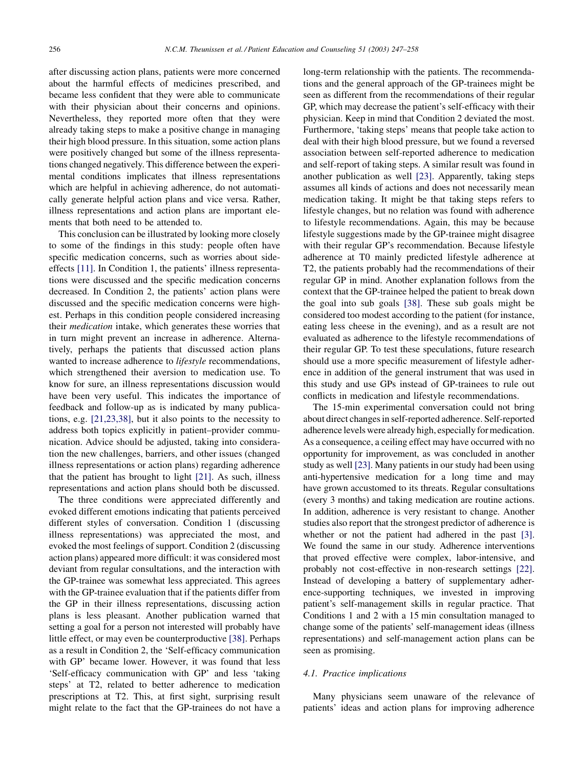after discussing action plans, patients were more concerned about the harmful effects of medicines prescribed, and became less confident that they were able to communicate with their physician about their concerns and opinions. Nevertheless, they reported more often that they were already taking steps to make a positive change in managing their high blood pressure. In this situation, some action plans were positively changed but some of the illness representations changed negatively. This difference between the experimental conditions implicates that illness representations which are helpful in achieving adherence, do not automatically generate helpful action plans and vice versa. Rather, illness representations and action plans are important elements that both need to be attended to.

This conclusion can be illustrated by looking more closely to some of the findings in this study: people often have specific medication concerns, such as worries about sideeffects [\[11\]](#page-10-0). In Condition 1, the patients' illness representations were discussed and the specific medication concerns decreased. In Condition 2, the patients' action plans were discussed and the specific medication concerns were highest. Perhaps in this condition people considered increasing their medication intake, which generates these worries that in turn might prevent an increase in adherence. Alternatively, perhaps the patients that discussed action plans wanted to increase adherence to *lifestyle* recommendations, which strengthened their aversion to medication use. To know for sure, an illness representations discussion would have been very useful. This indicates the importance of feedback and follow-up as is indicated by many publications, e.g. [\[21,23,38\],](#page-10-0) but it also points to the necessity to address both topics explicitly in patient–provider communication. Advice should be adjusted, taking into consideration the new challenges, barriers, and other issues (changed illness representations or action plans) regarding adherence that the patient has brought to light [\[21\].](#page-10-0) As such, illness representations and action plans should both be discussed.

The three conditions were appreciated differently and evoked different emotions indicating that patients perceived different styles of conversation. Condition 1 (discussing illness representations) was appreciated the most, and evoked the most feelings of support. Condition 2 (discussing action plans) appeared more difficult: it was considered most deviant from regular consultations, and the interaction with the GP-trainee was somewhat less appreciated. This agrees with the GP-trainee evaluation that if the patients differ from the GP in their illness representations, discussing action plans is less pleasant. Another publication warned that setting a goal for a person not interested will probably have little effect, or may even be counterproductive [\[38\]](#page-11-0). Perhaps as a result in Condition 2, the 'Self-efficacy communication with GP' became lower. However, it was found that less 'Self-efficacy communication with GP' and less 'taking steps' at T2, related to better adherence to medication prescriptions at T2. This, at first sight, surprising result might relate to the fact that the GP-trainees do not have a long-term relationship with the patients. The recommendations and the general approach of the GP-trainees might be seen as different from the recommendations of their regular GP, which may decrease the patient's self-efficacy with their physician. Keep in mind that Condition 2 deviated the most. Furthermore, 'taking steps' means that people take action to deal with their high blood pressure, but we found a reversed association between self-reported adherence to medication and self-report of taking steps. A similar result was found in another publication as well [\[23\].](#page-10-0) Apparently, taking steps assumes all kinds of actions and does not necessarily mean medication taking. It might be that taking steps refers to lifestyle changes, but no relation was found with adherence to lifestyle recommendations. Again, this may be because lifestyle suggestions made by the GP-trainee might disagree with their regular GP's recommendation. Because lifestyle adherence at T0 mainly predicted lifestyle adherence at T2, the patients probably had the recommendations of their regular GP in mind. Another explanation follows from the context that the GP-trainee helped the patient to break down the goal into sub goals [\[38\]](#page-11-0). These sub goals might be considered too modest according to the patient (for instance, eating less cheese in the evening), and as a result are not evaluated as adherence to the lifestyle recommendations of their regular GP. To test these speculations, future research should use a more specific measurement of lifestyle adherence in addition of the general instrument that was used in this study and use GPs instead of GP-trainees to rule out conflicts in medication and lifestyle recommendations.

The 15-min experimental conversation could not bring about direct changes in self-reported adherence. Self-reported adherence levels were already high, especially for medication. As a consequence, a ceiling effect may have occurred with no opportunity for improvement, as was concluded in another study as well [\[23\]](#page-10-0). Many patients in our study had been using anti-hypertensive medication for a long time and may have grown accustomed to its threats. Regular consultations (every 3 months) and taking medication are routine actions. In addition, adherence is very resistant to change. Another studies also report that the strongest predictor of adherence is whether or not the patient had adhered in the past [\[3\]](#page-10-0). We found the same in our study. Adherence interventions that proved effective were complex, labor-intensive, and probably not cost-effective in non-research settings [\[22\]](#page-10-0). Instead of developing a battery of supplementary adherence-supporting techniques, we invested in improving patient's self-management skills in regular practice. That Conditions 1 and 2 with a 15 min consultation managed to change some of the patients' self-management ideas (illness representations) and self-management action plans can be seen as promising.

## 4.1. Practice implications

Many physicians seem unaware of the relevance of patients' ideas and action plans for improving adherence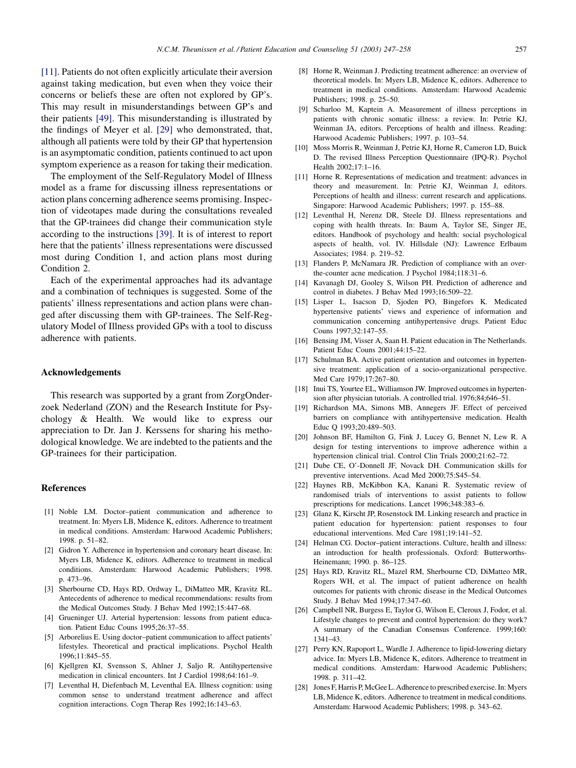<span id="page-10-0"></span>[11]. Patients do not often explicitly articulate their aversion against taking medication, but even when they voice their concerns or beliefs these are often not explored by GP's. This may result in misunderstandings between GP's and their patients [\[49\].](#page-11-0) This misunderstanding is illustrated by the findings of Meyer et al. [\[29\]](#page-11-0) who demonstrated, that, although all patients were told by their GP that hypertension is an asymptomatic condition, patients continued to act upon symptom experience as a reason for taking their medication.

The employment of the Self-Regulatory Model of Illness model as a frame for discussing illness representations or action plans concerning adherence seems promising. Inspection of videotapes made during the consultations revealed that the GP-trainees did change their communication style according to the instructions [\[39\]](#page-11-0). It is of interest to report here that the patients' illness representations were discussed most during Condition 1, and action plans most during Condition 2.

Each of the experimental approaches had its advantage and a combination of techniques is suggested. Some of the patients' illness representations and action plans were changed after discussing them with GP-trainees. The Self-Regulatory Model of Illness provided GPs with a tool to discuss adherence with patients.

#### Acknowledgements

This research was supported by a grant from ZorgOnderzoek Nederland (ZON) and the Research Institute for Psychology & Health. We would like to express our appreciation to Dr. Jan J. Kerssens for sharing his methodological knowledge. We are indebted to the patients and the GP-trainees for their participation.

#### References

- [1] Noble LM. Doctor–patient communication and adherence to treatment. In: Myers LB, Midence K, editors. Adherence to treatment in medical conditions. Amsterdam: Harwood Academic Publishers; 1998. p. 51–82.
- [2] Gidron Y. Adherence in hypertension and coronary heart disease. In: Myers LB, Midence K, editors. Adherence to treatment in medical conditions. Amsterdam: Harwood Academic Publishers; 1998. p. 473–96.
- [3] Sherbourne CD, Hays RD, Ordway L, DiMatteo MR, Kravitz RL. Antecedents of adherence to medical recommendations: results from the Medical Outcomes Study. J Behav Med 1992;15:447–68.
- [4] Grueninger UJ. Arterial hypertension: lessons from patient education. Patient Educ Couns 1995;26:37–55.
- [5] Arborelius E. Using doctor–patient communication to affect patients' lifestyles. Theoretical and practical implications. Psychol Health 1996;11:845–55.
- [6] Kjellgren KI, Svensson S, Ahlner J, Saljo R. Antihypertensive medication in clinical encounters. Int J Cardiol 1998;64:161–9.
- [7] Leventhal H, Diefenbach M, Leventhal EA. Illness cognition: using common sense to understand treatment adherence and affect cognition interactions. Cogn Therap Res 1992;16:143–63.
- [8] Horne R, Weinman J. Predicting treatment adherence: an overview of theoretical models. In: Myers LB, Midence K, editors. Adherence to treatment in medical conditions. Amsterdam: Harwood Academic Publishers; 1998. p. 25–50.
- [9] Scharloo M, Kaptein A. Measurement of illness perceptions in patients with chronic somatic illness: a review. In: Petrie KJ, Weinman JA, editors. Perceptions of health and illness. Reading: Harwood Academic Publishers; 1997. p. 103–54.
- [10] Moss Morris R, Weinman J, Petrie KJ, Horne R, Cameron LD, Buick D. The revised Illness Perception Questionnaire (IPQ-R). Psychol Health 2002;17:1–16.
- [11] Horne R. Representations of medication and treatment: advances in theory and measurement. In: Petrie KJ, Weinman J, editors. Perceptions of health and illness: current research and applications. Singapore: Harwood Academic Publishers; 1997. p. 155–88.
- [12] Leventhal H, Nerenz DR, Steele DJ. Illness representations and coping with health threats. In: Baum A, Taylor SE, Singer JE, editors. Handbook of psychology and health: social psychological aspects of health, vol. IV. Hillsdale (NJ): Lawrence Erlbaum Associates; 1984. p. 219–52.
- [13] Flanders P, McNamara JR. Prediction of compliance with an overthe-counter acne medication. J Psychol 1984;118:31–6.
- [14] Kavanagh DJ, Gooley S, Wilson PH. Prediction of adherence and control in diabetes. J Behav Med 1993;16:509–22.
- [15] Lisper L, Isacson D, Sjoden PO, Bingefors K. Medicated hypertensive patients' views and experience of information and communication concerning antihypertensive drugs. Patient Educ Couns 1997;32:147–55.
- [16] Bensing JM, Visser A, Saan H. Patient education in The Netherlands. Patient Educ Couns 2001;44:15–22.
- [17] Schulman BA. Active patient orientation and outcomes in hypertensive treatment: application of a socio-organizational perspective. Med Care 1979;17:267–80.
- [18] Inui TS, Yourtee EL, Williamson JW. Improved outcomes in hypertension after physician tutorials. A controlled trial. 1976;84;646–51.
- [19] Richardson MA, Simons MB, Annegers JF. Effect of perceived barriers on compliance with antihypertensive medication. Health Educ Q 1993;20:489–503.
- [20] Johnson BF, Hamilton G, Fink J, Lucey G, Bennet N, Lew R. A design for testing interventions to improve adherence within a hypertension clinical trial. Control Clin Trials 2000;21:62–72.
- [21] Dube CE, O'-Donnell JF, Novack DH. Communication skills for preventive interventions. Acad Med 2000;75:S45–54.
- [22] Haynes RB, McKibbon KA, Kanani R. Systematic review of randomised trials of interventions to assist patients to follow prescriptions for medications. Lancet 1996;348:383–6.
- [23] Glanz K, Kirscht JP, Rosenstock IM. Linking research and practice in patient education for hypertension: patient responses to four educational interventions. Med Care 1981;19:141–52.
- [24] Helman CG. Doctor–patient interactions. Culture, health and illness: an introduction for health professionals. Oxford: Butterworths-Heinemann; 1990. p. 86–125.
- [25] Hays RD, Kravitz RL, Mazel RM, Sherbourne CD, DiMatteo MR, Rogers WH, et al. The impact of patient adherence on health outcomes for patients with chronic disease in the Medical Outcomes Study. J Behav Med 1994;17:347–60.
- [26] Campbell NR, Burgess E, Taylor G, Wilson E, Cleroux J, Fodor, et al. Lifestyle changes to prevent and control hypertension: do they work? A summary of the Canadian Consensus Conference. 1999;160: 1341–43.
- [27] Perry KN, Rapoport L, Wardle J. Adherence to lipid-lowering dietary advice. In: Myers LB, Midence K, editors. Adherence to treatment in medical conditions. Amsterdam: Harwood Academic Publishers; 1998. p. 311–42.
- [28] Jones F, Harris P, McGee L. Adherence to prescribed exercise. In: Myers LB, Midence K, editors. Adherence to treatment in medical conditions. Amsterdam: Harwood Academic Publishers; 1998. p. 343–62.